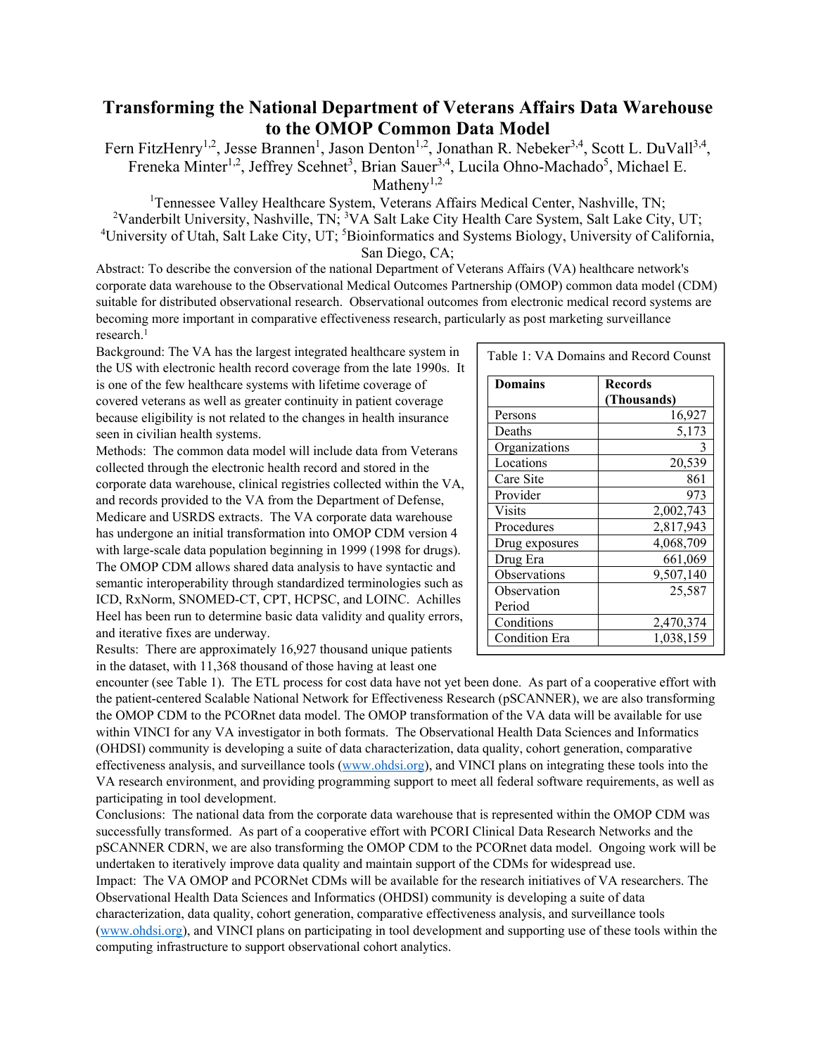## **Transforming the National Department of Veterans Affairs Data Warehouse to the OMOP Common Data Model**

Fern FitzHenry<sup>1,2</sup>, Jesse Brannen<sup>1</sup>, Jason Denton<sup>1,2</sup>, Jonathan R. Nebeker<sup>3,4</sup>, Scott L. DuVall<sup>3,4</sup>, Freneka Minter<sup>1,2</sup>, Jeffrey Scehnet<sup>3</sup>, Brian Sauer<sup>3,4</sup>, Lucila Ohno-Machado<sup>5</sup>, Michael E.

Matheny<sup>1,2</sup>

<sup>1</sup>Tennessee Valley Healthcare System, Veterans Affairs Medical Center, Nashville, TN; <sup>2</sup>Vanderbilt University, Nashville, TN; <sup>3</sup>VA Salt Lake City Health Care System, Salt Lake City, UT; <sup>4</sup>University of Utah, Salt Lake City, UT; <sup>5</sup>Bioinformatics and Systems Biology, University of California, San Diego, CA;

Abstract: To describe the conversion of the national Department of Veterans Affairs (VA) healthcare network's corporate data warehouse to the Observational Medical Outcomes Partnership (OMOP) common data model (CDM) suitable for distributed observational research. Observational outcomes from electronic medical record systems are becoming more important in comparative effectiveness research, particularly as post marketing surveillance research.<sup>1</sup>

Background: The VA has the largest integrated healthcare system in the US with electronic health record coverage from the late 1990s. It is one of the few healthcare systems with lifetime coverage of covered veterans as well as greater continuity in patient coverage because eligibility is not related to the changes in health insurance seen in civilian health systems.

Methods: The common data model will include data from Veterans collected through the electronic health record and stored in the corporate data warehouse, clinical registries collected within the VA, and records provided to the VA from the Department of Defense, Medicare and USRDS extracts. The VA corporate data warehouse has undergone an initial transformation into OMOP CDM version 4 with large-scale data population beginning in 1999 (1998 for drugs). The OMOP CDM allows shared data analysis to have syntactic and semantic interoperability through standardized terminologies such as ICD, RxNorm, SNOMED-CT, CPT, HCPSC, and LOINC. Achilles Heel has been run to determine basic data validity and quality errors, and iterative fixes are underway.

| <b>Domains</b>       | Records     |
|----------------------|-------------|
|                      | (Thousands) |
| Persons              | 16,927      |
| Deaths               | 5,173       |
| Organizations        |             |
| Locations            | 20,539      |
| Care Site            | 861         |
| Provider             | 973         |
| Visits               | 2,002,743   |
| Procedures           | 2,817,943   |
| Drug exposures       | 4,068,709   |
| Drug Era             | 661,069     |
| Observations         | 9,507,140   |
| Observation          | 25,587      |
| Period               |             |
| Conditions           | 2,470,374   |
| <b>Condition Era</b> | 1,038,159   |

Results: There are approximately 16,927 thousand unique patients in the dataset, with 11,368 thousand of those having at least one

encounter (see Table 1). The ETL process for cost data have not yet been done. As part of a cooperative effort with the patient-centered Scalable National Network for Effectiveness Research (pSCANNER), we are also transforming the OMOP CDM to the PCORnet data model. The OMOP transformation of the VA data will be available for use within VINCI for any VA investigator in both formats. The Observational Health Data Sciences and Informatics (OHDSI) community is developing a suite of data characterization, data quality, cohort generation, comparative effectiveness analysis, and surveillance tools (www.ohdsi.org), and VINCI plans on integrating these tools into the VA research environment, and providing programming support to meet all federal software requirements, as well as participating in tool development.

Conclusions: The national data from the corporate data warehouse that is represented within the OMOP CDM was successfully transformed. As part of a cooperative effort with PCORI Clinical Data Research Networks and the pSCANNER CDRN, we are also transforming the OMOP CDM to the PCORnet data model. Ongoing work will be undertaken to iteratively improve data quality and maintain support of the CDMs for widespread use. Impact: The VA OMOP and PCORNet CDMs will be available for the research initiatives of VA researchers. The Observational Health Data Sciences and Informatics (OHDSI) community is developing a suite of data characterization, data quality, cohort generation, comparative effectiveness analysis, and surveillance tools (www.ohdsi.org), and VINCI plans on participating in tool development and supporting use of these tools within the computing infrastructure to support observational cohort analytics.